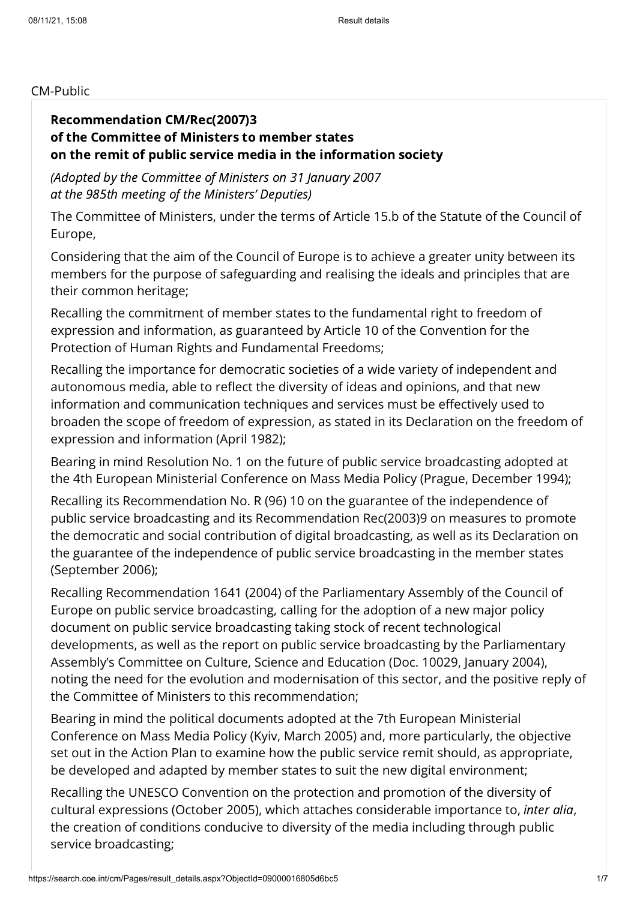#### CM-Public

### Recommendation [CM/Rec\(2007\)3](https://search.coe.int/cm/Pages/result_details.aspx?Reference=CM/Rec(2007)3) of the Committee of Ministers to member states on the remit of public service media in the information society

(Adopted by the Committee of Ministers on 31 January 2007 at the 985th meeting of the Ministers' Deputies)

The Committee of Ministers, under the terms of Article 15.b of the Statute of the Council of Europe,

Considering that the aim of the Council of Europe is to achieve a greater unity between its members for the purpose of safeguarding and realising the ideals and principles that are their common heritage;

Recalling the commitment of member states to the fundamental right to freedom of expression and information, as guaranteed by Article 10 of the Convention for the Protection of Human Rights and Fundamental Freedoms;

Recalling the importance for democratic societies of a wide variety of independent and autonomous media, able to reflect the diversity of ideas and opinions, and that new information and communication techniques and services must be effectively used to broaden the scope of freedom of expression, as stated in its Declaration on the freedom of expression and information (April 1982);

Bearing in mind Resolution No. 1 on the future of public service broadcasting adopted at the 4th European Ministerial Conference on Mass Media Policy (Prague, December 1994);

Recalling its Recommendation No. R (96) 10 on the guarantee of the independence of public service broadcasting and its Recommendation [Rec\(2003\)9](https://search.coe.int/cm/Pages/result_details.aspx?Reference=Rec(2003)9) on measures to promote the democratic and social contribution of digital broadcasting, as well as its Declaration on the guarantee of the independence of public service broadcasting in the member states (September 2006);

Recalling Recommendation 1641 (2004) of the Parliamentary Assembly of the Council of Europe on public service broadcasting, calling for the adoption of a new major policy document on public service broadcasting taking stock of recent technological developments, as well as the report on public service broadcasting by the Parliamentary Assembly's Committee on Culture, Science and Education (Doc. 10029, January 2004), noting the need for the evolution and modernisation of this sector, and the positive reply of the Committee of Ministers to this recommendation;

Bearing in mind the political documents adopted at the 7th European Ministerial Conference on Mass Media Policy (Kyiv, March 2005) and, more particularly, the objective set out in the Action Plan to examine how the public service remit should, as appropriate, be developed and adapted by member states to suit the new digital environment;

Recalling the UNESCO Convention on the protection and promotion of the diversity of cultural expressions (October 2005), which attaches considerable importance to, inter alia, the creation of conditions conducive to diversity of the media including through public service broadcasting;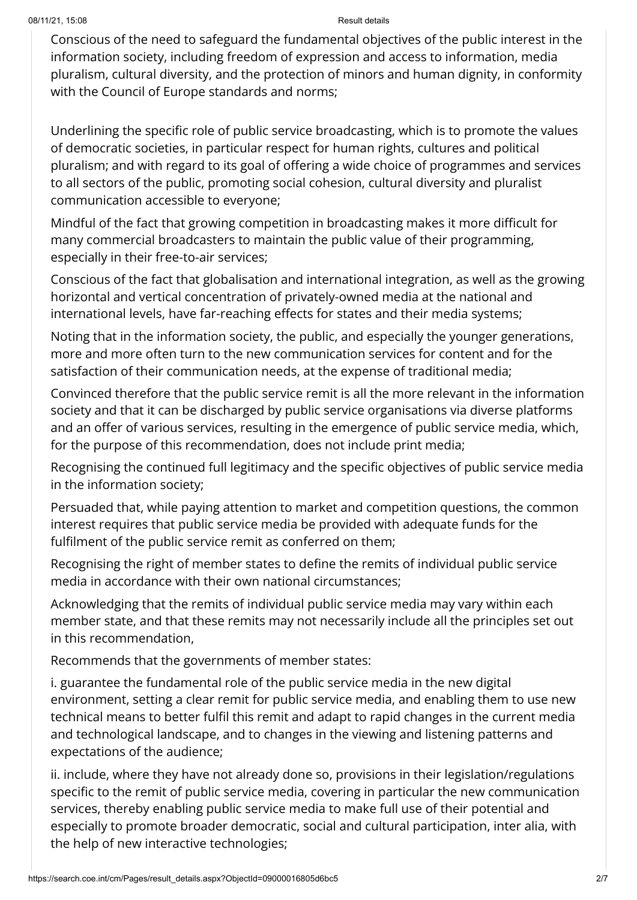Conscious of the need to safeguard the fundamental objectives of the public interest in the information society, including freedom of expression and access to information, media pluralism, cultural diversity, and the protection of minors and human dignity, in conformity with the Council of Europe standards and norms;

Underlining the specific role of public service broadcasting, which is to promote the values of democratic societies, in particular respect for human rights, cultures and political pluralism; and with regard to its goal of offering a wide choice of programmes and services to all sectors of the public, promoting social cohesion, cultural diversity and pluralist communication accessible to everyone;

Mindful of the fact that growing competition in broadcasting makes it more difficult for many commercial broadcasters to maintain the public value of their programming, especially in their free-to-air services;

Conscious of the fact that globalisation and international integration, as well as the growing horizontal and vertical concentration of privately-owned media at the national and international levels, have far-reaching effects for states and their media systems;

Noting that in the information society, the public, and especially the younger generations, more and more often turn to the new communication services for content and for the satisfaction of their communication needs, at the expense of traditional media;

Convinced therefore that the public service remit is all the more relevant in the information society and that it can be discharged by public service organisations via diverse platforms and an offer of various services, resulting in the emergence of public service media, which, for the purpose of this recommendation, does not include print media;

Recognising the continued full legitimacy and the specific objectives of public service media in the information society;

Persuaded that, while paying attention to market and competition questions, the common interest requires that public service media be provided with adequate funds for the fulfilment of the public service remit as conferred on them;

Recognising the right of member states to define the remits of individual public service media in accordance with their own national circumstances;

Acknowledging that the remits of individual public service media may vary within each member state, and that these remits may not necessarily include all the principles set out in this recommendation,

Recommends that the governments of member states:

i. guarantee the fundamental role of the public service media in the new digital environment, setting a clear remit for public service media, and enabling them to use new technical means to better fulfil this remit and adapt to rapid changes in the current media and technological landscape, and to changes in the viewing and listening patterns and expectations of the audience;

ii. include, where they have not already done so, provisions in their legislation/regulations specific to the remit of public service media, covering in particular the new communication services, thereby enabling public service media to make full use of their potential and especially to promote broader democratic, social and cultural participation, inter alia, with the help of new interactive technologies;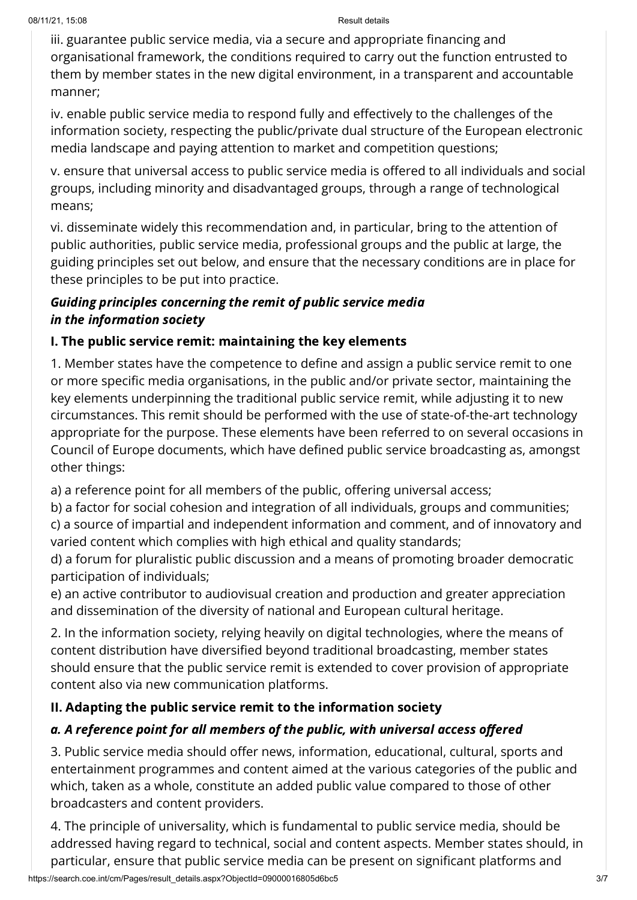iii. guarantee public service media, via a secure and appropriate financing and organisational framework, the conditions required to carry out the function entrusted to them by member states in the new digital environment, in a transparent and accountable manner;

iv. enable public service media to respond fully and effectively to the challenges of the information society, respecting the public/private dual structure of the European electronic media landscape and paying attention to market and competition questions;

v. ensure that universal access to public service media is offered to all individuals and social groups, including minority and disadvantaged groups, through a range of technological means;

vi. disseminate widely this recommendation and, in particular, bring to the attention of public authorities, public service media, professional groups and the public at large, the guiding principles set out below, and ensure that the necessary conditions are in place for these principles to be put into practice.

## Guiding principles concerning the remit of public service media in the information society

# I. The public service remit: maintaining the key elements

1. Member states have the competence to define and assign a public service remit to one or more specific media organisations, in the public and/or private sector, maintaining the key elements underpinning the traditional public service remit, while adjusting it to new circumstances. This remit should be performed with the use of state-of-the-art technology appropriate for the purpose. These elements have been referred to on several occasions in Council of Europe documents, which have defined public service broadcasting as, amongst other things:

a) a reference point for all members of the public, offering universal access;

b) a factor for social cohesion and integration of all individuals, groups and communities; c) a source of impartial and independent information and comment, and of innovatory and varied content which complies with high ethical and quality standards;

d) a forum for pluralistic public discussion and a means of promoting broader democratic participation of individuals;

e) an active contributor to audiovisual creation and production and greater appreciation and dissemination of the diversity of national and European cultural heritage.

2. In the information society, relying heavily on digital technologies, where the means of content distribution have diversified beyond traditional broadcasting, member states should ensure that the public service remit is extended to cover provision of appropriate content also via new communication platforms.

# II. Adapting the public service remit to the information society

# a. A reference point for all members of the public, with universal access offered

3. Public service media should offer news, information, educational, cultural, sports and entertainment programmes and content aimed at the various categories of the public and which, taken as a whole, constitute an added public value compared to those of other broadcasters and content providers.

4. The principle of universality, which is fundamental to public service media, should be addressed having regard to technical, social and content aspects. Member states should, in particular, ensure that public service media can be present on significant platforms and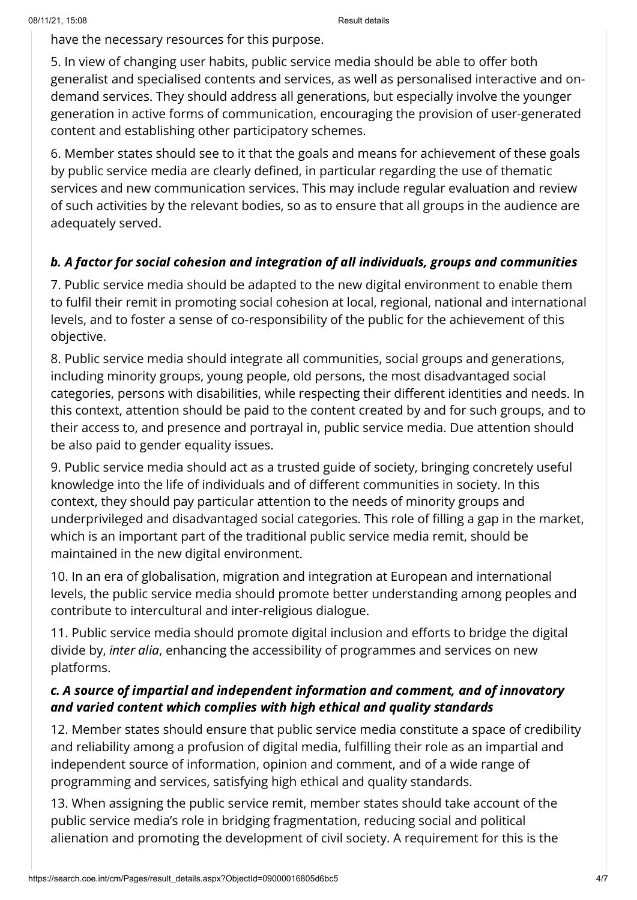have the necessary resources for this purpose.

5. In view of changing user habits, public service media should be able to offer both generalist and specialised contents and services, as well as personalised interactive and ondemand services. They should address all generations, but especially involve the younger generation in active forms of communication, encouraging the provision of user-generated content and establishing other participatory schemes.

6. Member states should see to it that the goals and means for achievement of these goals by public service media are clearly defined, in particular regarding the use of thematic services and new communication services. This may include regular evaluation and review of such activities by the relevant bodies, so as to ensure that all groups in the audience are adequately served.

# b. A factor for social cohesion and integration of all individuals, groups and communities

7. Public service media should be adapted to the new digital environment to enable them to fulfil their remit in promoting social cohesion at local, regional, national and international levels, and to foster a sense of co-responsibility of the public for the achievement of this objective.

8. Public service media should integrate all communities, social groups and generations, including minority groups, young people, old persons, the most disadvantaged social categories, persons with disabilities, while respecting their different identities and needs. In this context, attention should be paid to the content created by and for such groups, and to their access to, and presence and portrayal in, public service media. Due attention should be also paid to gender equality issues.

9. Public service media should act as a trusted guide of society, bringing concretely useful knowledge into the life of individuals and of different communities in society. In this context, they should pay particular attention to the needs of minority groups and underprivileged and disadvantaged social categories. This role of filling a gap in the market, which is an important part of the traditional public service media remit, should be maintained in the new digital environment.

10. In an era of globalisation, migration and integration at European and international levels, the public service media should promote better understanding among peoples and contribute to intercultural and inter-religious dialogue.

11. Public service media should promote digital inclusion and efforts to bridge the digital divide by, inter alia, enhancing the accessibility of programmes and services on new platforms.

# c. A source of impartial and independent information and comment, and of innovatory and varied content which complies with high ethical and quality standards

12. Member states should ensure that public service media constitute a space of credibility and reliability among a profusion of digital media, fulfilling their role as an impartial and independent source of information, opinion and comment, and of a wide range of programming and services, satisfying high ethical and quality standards.

13. When assigning the public service remit, member states should take account of the public service media's role in bridging fragmentation, reducing social and political alienation and promoting the development of civil society. A requirement for this is the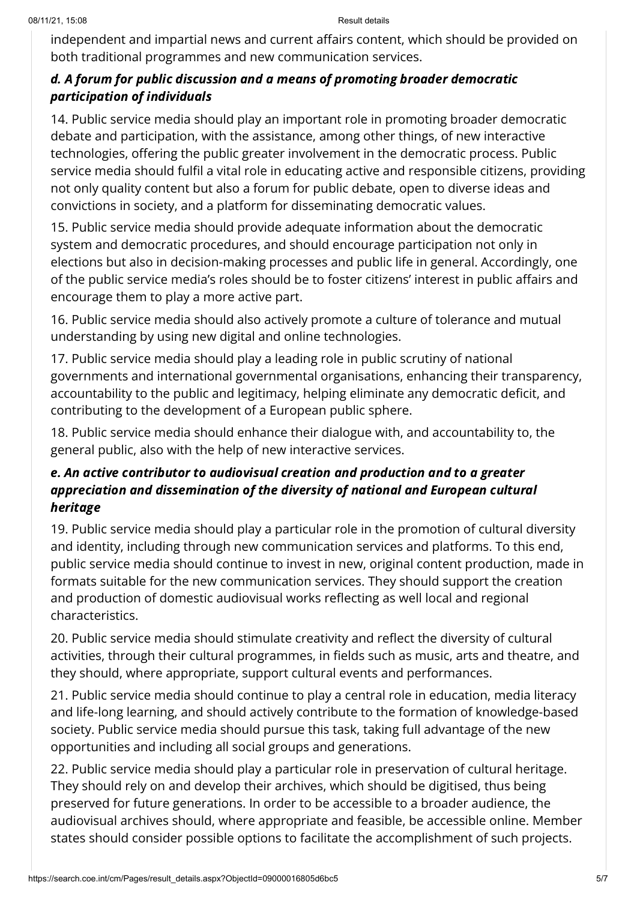independent and impartial news and current affairs content, which should be provided on both traditional programmes and new communication services.

# d. A forum for public discussion and a means of promoting broader democratic participation of individuals

14. Public service media should play an important role in promoting broader democratic debate and participation, with the assistance, among other things, of new interactive technologies, offering the public greater involvement in the democratic process. Public service media should fulfil a vital role in educating active and responsible citizens, providing not only quality content but also a forum for public debate, open to diverse ideas and convictions in society, and a platform for disseminating democratic values.

15. Public service media should provide adequate information about the democratic system and democratic procedures, and should encourage participation not only in elections but also in decision-making processes and public life in general. Accordingly, one of the public service media's roles should be to foster citizens' interest in public affairs and encourage them to play a more active part.

16. Public service media should also actively promote a culture of tolerance and mutual understanding by using new digital and online technologies.

17. Public service media should play a leading role in public scrutiny of national governments and international governmental organisations, enhancing their transparency, accountability to the public and legitimacy, helping eliminate any democratic deficit, and contributing to the development of a European public sphere.

18. Public service media should enhance their dialogue with, and accountability to, the general public, also with the help of new interactive services.

# e. An active contributor to audiovisual creation and production and to a greater appreciation and dissemination of the diversity of national and European cultural heritage

19. Public service media should play a particular role in the promotion of cultural diversity and identity, including through new communication services and platforms. To this end, public service media should continue to invest in new, original content production, made in formats suitable for the new communication services. They should support the creation and production of domestic audiovisual works reflecting as well local and regional characteristics.

20. Public service media should stimulate creativity and reflect the diversity of cultural activities, through their cultural programmes, in fields such as music, arts and theatre, and they should, where appropriate, support cultural events and performances.

21. Public service media should continue to play a central role in education, media literacy and life-long learning, and should actively contribute to the formation of knowledge-based society. Public service media should pursue this task, taking full advantage of the new opportunities and including all social groups and generations.

22. Public service media should play a particular role in preservation of cultural heritage. They should rely on and develop their archives, which should be digitised, thus being preserved for future generations. In order to be accessible to a broader audience, the audiovisual archives should, where appropriate and feasible, be accessible online. Member states should consider possible options to facilitate the accomplishment of such projects.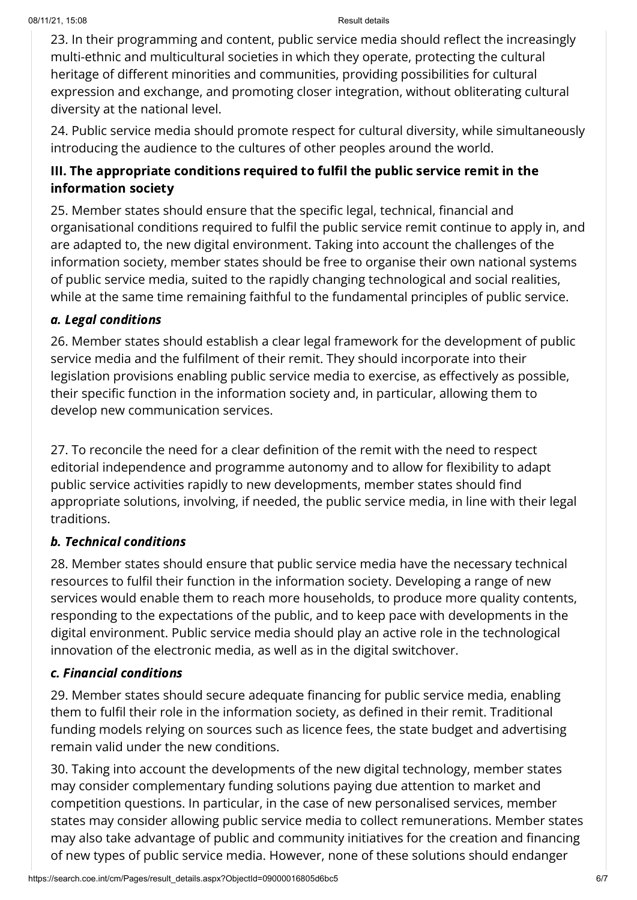23. In their programming and content, public service media should reflect the increasingly multi-ethnic and multicultural societies in which they operate, protecting the cultural heritage of different minorities and communities, providing possibilities for cultural expression and exchange, and promoting closer integration, without obliterating cultural diversity at the national level.

24. Public service media should promote respect for cultural diversity, while simultaneously introducing the audience to the cultures of other peoples around the world.

## III. The appropriate conditions required to fulfil the public service remit in the information society

25. Member states should ensure that the specific legal, technical, financial and organisational conditions required to fulfil the public service remit continue to apply in, and are adapted to, the new digital environment. Taking into account the challenges of the information society, member states should be free to organise their own national systems of public service media, suited to the rapidly changing technological and social realities, while at the same time remaining faithful to the fundamental principles of public service.

### a. Legal conditions

26. Member states should establish a clear legal framework for the development of public service media and the fulfilment of their remit. They should incorporate into their legislation provisions enabling public service media to exercise, as effectively as possible, their specific function in the information society and, in particular, allowing them to develop new communication services.

27. To reconcile the need for a clear definition of the remit with the need to respect editorial independence and programme autonomy and to allow for flexibility to adapt public service activities rapidly to new developments, member states should find appropriate solutions, involving, if needed, the public service media, in line with their legal traditions.

## b. Technical conditions

28. Member states should ensure that public service media have the necessary technical resources to fulfil their function in the information society. Developing a range of new services would enable them to reach more households, to produce more quality contents, responding to the expectations of the public, and to keep pace with developments in the digital environment. Public service media should play an active role in the technological innovation of the electronic media, as well as in the digital switchover.

## c. Financial conditions

29. Member states should secure adequate financing for public service media, enabling them to fulfil their role in the information society, as defined in their remit. Traditional funding models relying on sources such as licence fees, the state budget and advertising remain valid under the new conditions.

30. Taking into account the developments of the new digital technology, member states may consider complementary funding solutions paying due attention to market and competition questions. In particular, in the case of new personalised services, member states may consider allowing public service media to collect remunerations. Member states may also take advantage of public and community initiatives for the creation and financing of new types of public service media. However, none of these solutions should endanger